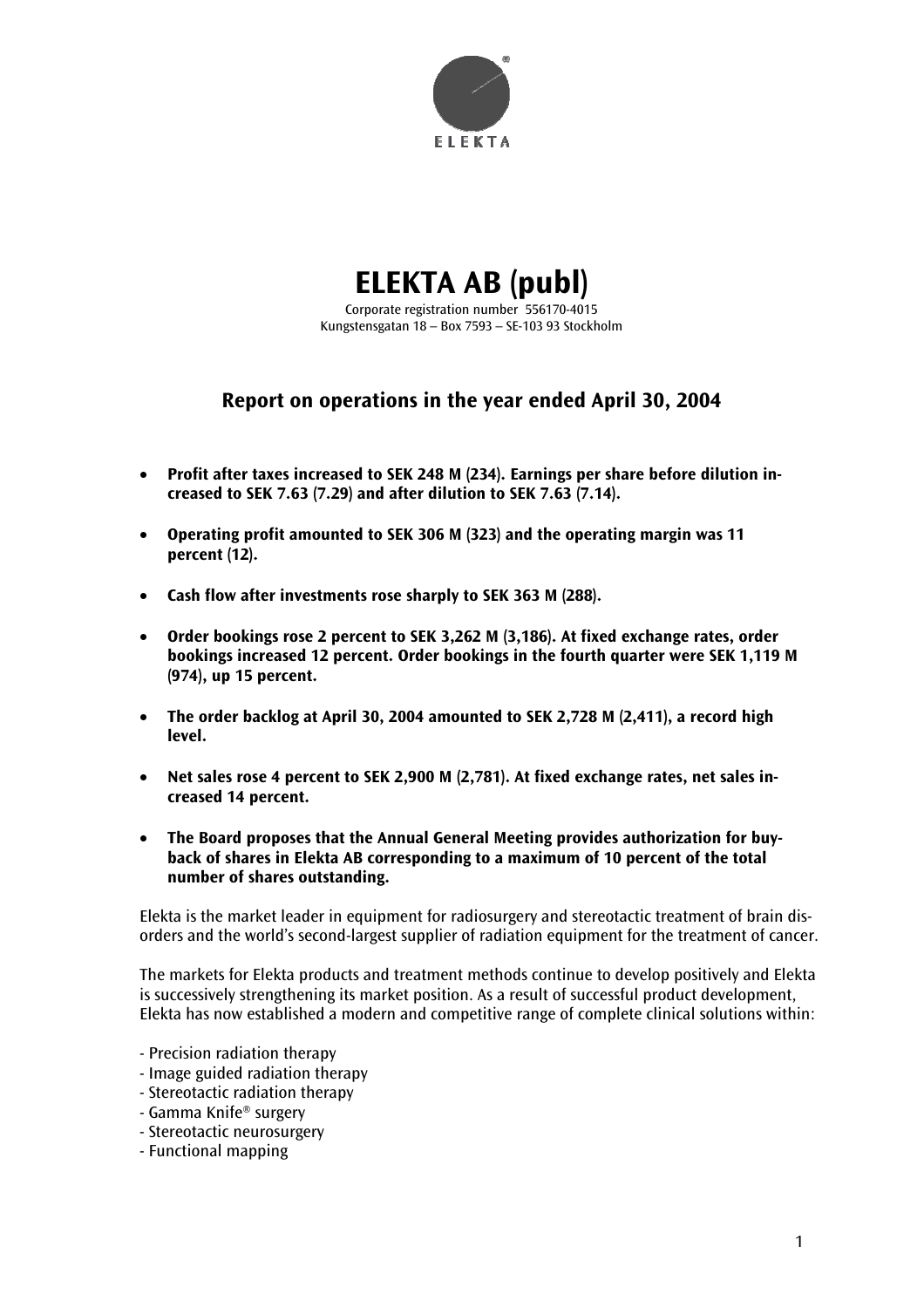

# **ELEKTA AB (publ)**

Corporate registration number 556170-4015 Kungstensgatan 18 – Box 7593 – SE-103 93 Stockholm

# **Report on operations in the year ended April 30, 2004**

- **Profit after taxes increased to SEK 248 M (234). Earnings per share before dilution increased to SEK 7.63 (7.29) and after dilution to SEK 7.63 (7.14).**
- **Operating profit amounted to SEK 306 M (323) and the operating margin was 11 percent (12).**
- **Cash flow after investments rose sharply to SEK 363 M (288).**
- **Order bookings rose 2 percent to SEK 3,262 M (3,186). At fixed exchange rates, order bookings increased 12 percent. Order bookings in the fourth quarter were SEK 1,119 M (974), up 15 percent.**
- **The order backlog at April 30, 2004 amounted to SEK 2,728 M (2,411), a record high level.**
- **Net sales rose 4 percent to SEK 2,900 M (2,781). At fixed exchange rates, net sales increased 14 percent.**
- **The Board proposes that the Annual General Meeting provides authorization for buyback of shares in Elekta AB corresponding to a maximum of 10 percent of the total number of shares outstanding.**

Elekta is the market leader in equipment for radiosurgery and stereotactic treatment of brain disorders and the world's second-largest supplier of radiation equipment for the treatment of cancer.

The markets for Elekta products and treatment methods continue to develop positively and Elekta is successively strengthening its market position. As a result of successful product development, Elekta has now established a modern and competitive range of complete clinical solutions within:

- Precision radiation therapy
- Image guided radiation therapy
- Stereotactic radiation therapy
- Gamma Knife® surgery
- Stereotactic neurosurgery
- Functional mapping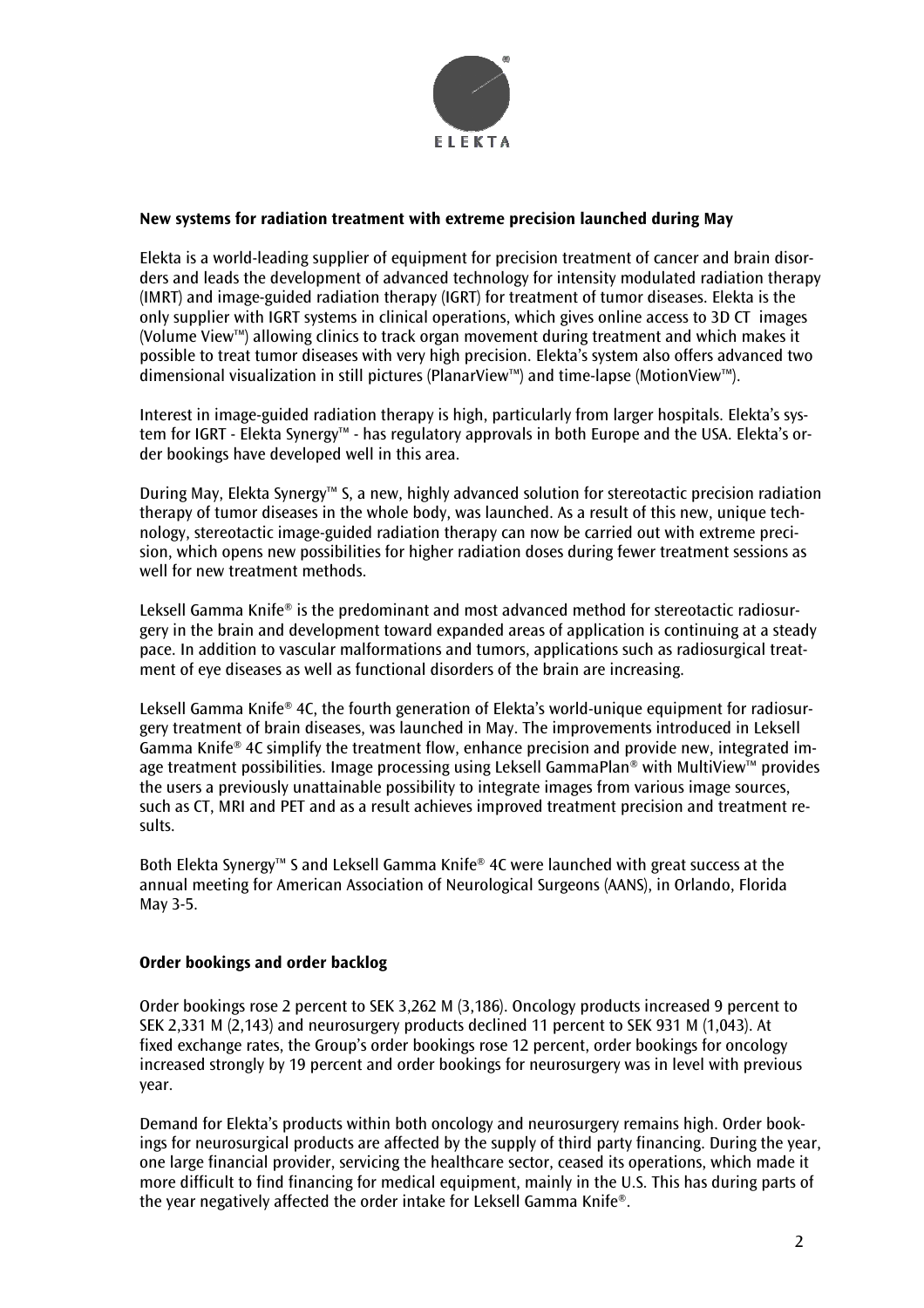

#### **New systems for radiation treatment with extreme precision launched during May**

Elekta is a world-leading supplier of equipment for precision treatment of cancer and brain disorders and leads the development of advanced technology for intensity modulated radiation therapy (IMRT) and image-guided radiation therapy (IGRT) for treatment of tumor diseases. Elekta is the only supplier with IGRT systems in clinical operations, which gives online access to 3D CT images (Volume View™) allowing clinics to track organ movement during treatment and which makes it possible to treat tumor diseases with very high precision. Elekta's system also offers advanced two dimensional visualization in still pictures (PlanarView™) and time-lapse (MotionView™).

Interest in image-guided radiation therapy is high, particularly from larger hospitals. Elekta's system for IGRT - Elekta Synergy™ - has regulatory approvals in both Europe and the USA. Elekta's order bookings have developed well in this area.

During May, Elekta Synergy™ S, a new, highly advanced solution for stereotactic precision radiation therapy of tumor diseases in the whole body, was launched. As a result of this new, unique technology, stereotactic image-guided radiation therapy can now be carried out with extreme precision, which opens new possibilities for higher radiation doses during fewer treatment sessions as well for new treatment methods.

Leksell Gamma Knife® is the predominant and most advanced method for stereotactic radiosurgery in the brain and development toward expanded areas of application is continuing at a steady pace. In addition to vascular malformations and tumors, applications such as radiosurgical treatment of eye diseases as well as functional disorders of the brain are increasing.

Leksell Gamma Knife® 4C, the fourth generation of Elekta's world-unique equipment for radiosurgery treatment of brain diseases, was launched in May. The improvements introduced in Leksell Gamma Knife® 4C simplify the treatment flow, enhance precision and provide new, integrated image treatment possibilities. Image processing using Leksell GammaPlan® with MultiView™ provides the users a previously unattainable possibility to integrate images from various image sources, such as CT, MRI and PET and as a result achieves improved treatment precision and treatment results.

Both Elekta Synergy™ S and Leksell Gamma Knife® 4C were launched with great success at the annual meeting for American Association of Neurological Surgeons (AANS), in Orlando, Florida May 3-5.

#### **Order bookings and order backlog**

Order bookings rose 2 percent to SEK 3,262 M (3,186). Oncology products increased 9 percent to SEK 2,331 M (2,143) and neurosurgery products declined 11 percent to SEK 931 M (1,043). At fixed exchange rates, the Group's order bookings rose 12 percent, order bookings for oncology increased strongly by 19 percent and order bookings for neurosurgery was in level with previous year.

Demand for Elekta's products within both oncology and neurosurgery remains high. Order bookings for neurosurgical products are affected by the supply of third party financing. During the year, one large financial provider, servicing the healthcare sector, ceased its operations, which made it more difficult to find financing for medical equipment, mainly in the U.S. This has during parts of the year negatively affected the order intake for Leksell Gamma Knife®.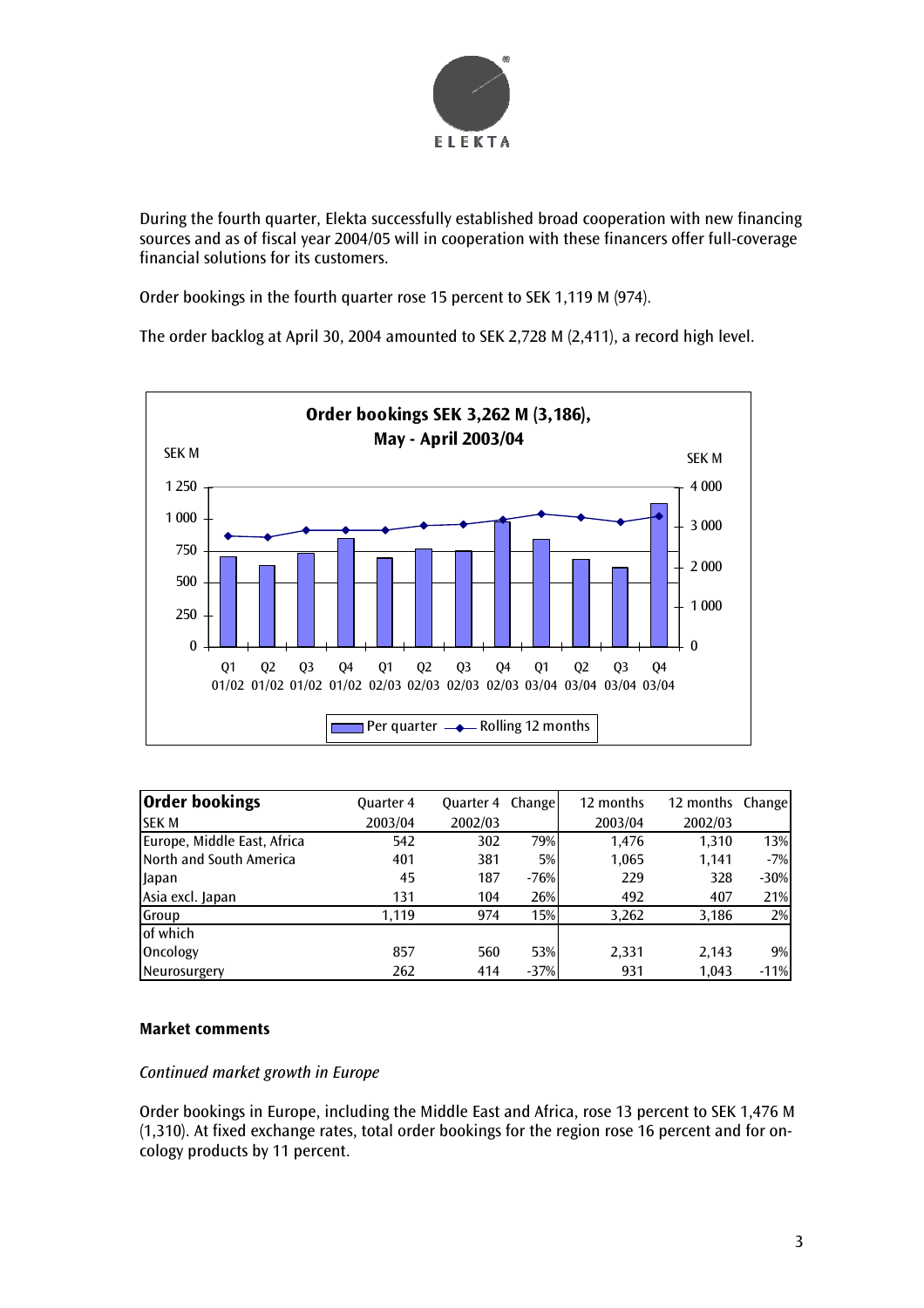

During the fourth quarter, Elekta successfully established broad cooperation with new financing sources and as of fiscal year 2004/05 will in cooperation with these financers offer full-coverage financial solutions for its customers.

Order bookings in the fourth quarter rose 15 percent to SEK 1,119 M (974).

The order backlog at April 30, 2004 amounted to SEK 2,728 M (2,411), a record high level.



| <b>Order bookings</b>       | <b>Quarter 4</b> | Quarter 4 | Change | 12 months | 12 months Change |        |
|-----------------------------|------------------|-----------|--------|-----------|------------------|--------|
| <b>SEK M</b>                | 2003/04          | 2002/03   |        | 2003/04   | 2002/03          |        |
| Europe, Middle East, Africa | 542              | 302       | 79%    | 1.476     | 1,310            | 13%    |
| North and South America     | 401              | 381       | 5%     | 1,065     | 1,141            | $-7%$  |
| <b>Japan</b>                | 45               | 187       | $-76%$ | 229       | 328              | $-30%$ |
| Asia excl. Japan            | 131              | 104       | 26%    | 492       | 407              | 21%    |
| Group                       | 1.119            | 974       | 15%    | 3,262     | 3,186            | 2%     |
| of which                    |                  |           |        |           |                  |        |
| Oncology                    | 857              | 560       | 53%    | 2,331     | 2,143            | 9%     |
| Neurosurgery                | 262              | 414       | $-37%$ | 931       | 1.043            | $-11%$ |

# **Market comments**

# *Continued market growth in Europe*

Order bookings in Europe, including the Middle East and Africa, rose 13 percent to SEK 1,476 M (1,310). At fixed exchange rates, total order bookings for the region rose 16 percent and for oncology products by 11 percent.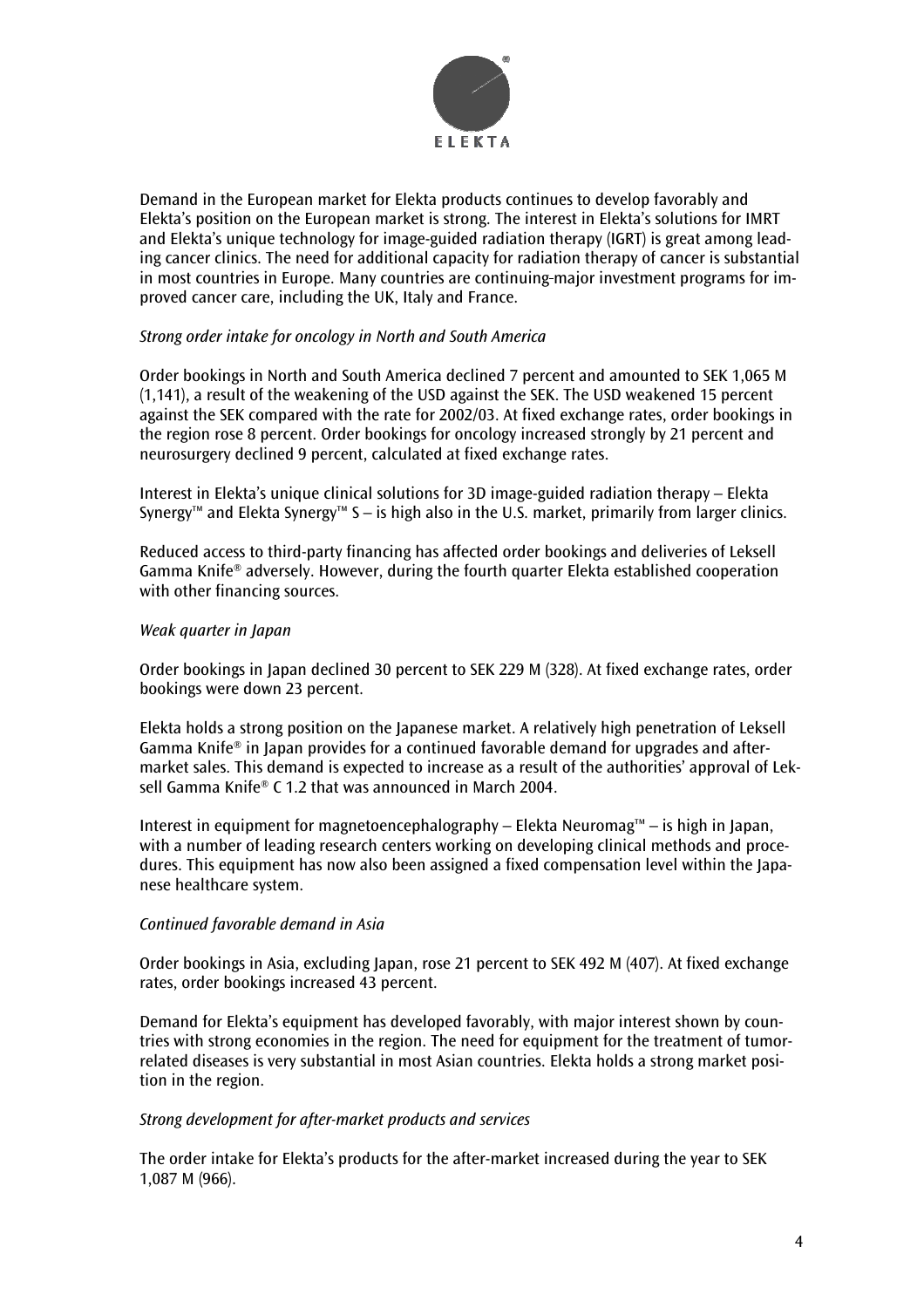

Demand in the European market for Elekta products continues to develop favorably and Elekta's position on the European market is strong. The interest in Elekta's solutions for IMRT and Elekta's unique technology for image-guided radiation therapy (IGRT) is great among leading cancer clinics. The need for additional capacity for radiation therapy of cancer is substantial in most countries in Europe. Many countries are continuing-major investment programs for improved cancer care, including the UK, Italy and France.

#### *Strong order intake for oncology in North and South America*

Order bookings in North and South America declined 7 percent and amounted to SEK 1,065 M (1,141), a result of the weakening of the USD against the SEK. The USD weakened 15 percent against the SEK compared with the rate for 2002/03. At fixed exchange rates, order bookings in the region rose 8 percent. Order bookings for oncology increased strongly by 21 percent and neurosurgery declined 9 percent, calculated at fixed exchange rates.

Interest in Elekta's unique clinical solutions for 3D image-guided radiation therapy – Elekta Synergy™ and Elekta Synergy™ S – is high also in the U.S. market, primarily from larger clinics.

Reduced access to third-party financing has affected order bookings and deliveries of Leksell Gamma Knife® adversely. However, during the fourth quarter Elekta established cooperation with other financing sources.

#### *Weak quarter in Japan*

Order bookings in Japan declined 30 percent to SEK 229 M (328). At fixed exchange rates, order bookings were down 23 percent.

Elekta holds a strong position on the Japanese market. A relatively high penetration of Leksell Gamma Knife® in Japan provides for a continued favorable demand for upgrades and aftermarket sales. This demand is expected to increase as a result of the authorities' approval of Leksell Gamma Knife® C 1.2 that was announced in March 2004.

Interest in equipment for magnetoencephalography – Elekta Neuromag™ – is high in Japan, with a number of leading research centers working on developing clinical methods and procedures. This equipment has now also been assigned a fixed compensation level within the Japanese healthcare system.

#### *Continued favorable demand in Asia*

Order bookings in Asia, excluding Japan, rose 21 percent to SEK 492 M (407). At fixed exchange rates, order bookings increased 43 percent.

Demand for Elekta's equipment has developed favorably, with major interest shown by countries with strong economies in the region. The need for equipment for the treatment of tumorrelated diseases is very substantial in most Asian countries. Elekta holds a strong market position in the region.

#### *Strong development for after-market products and services*

The order intake for Elekta's products for the after-market increased during the year to SEK 1,087 M (966).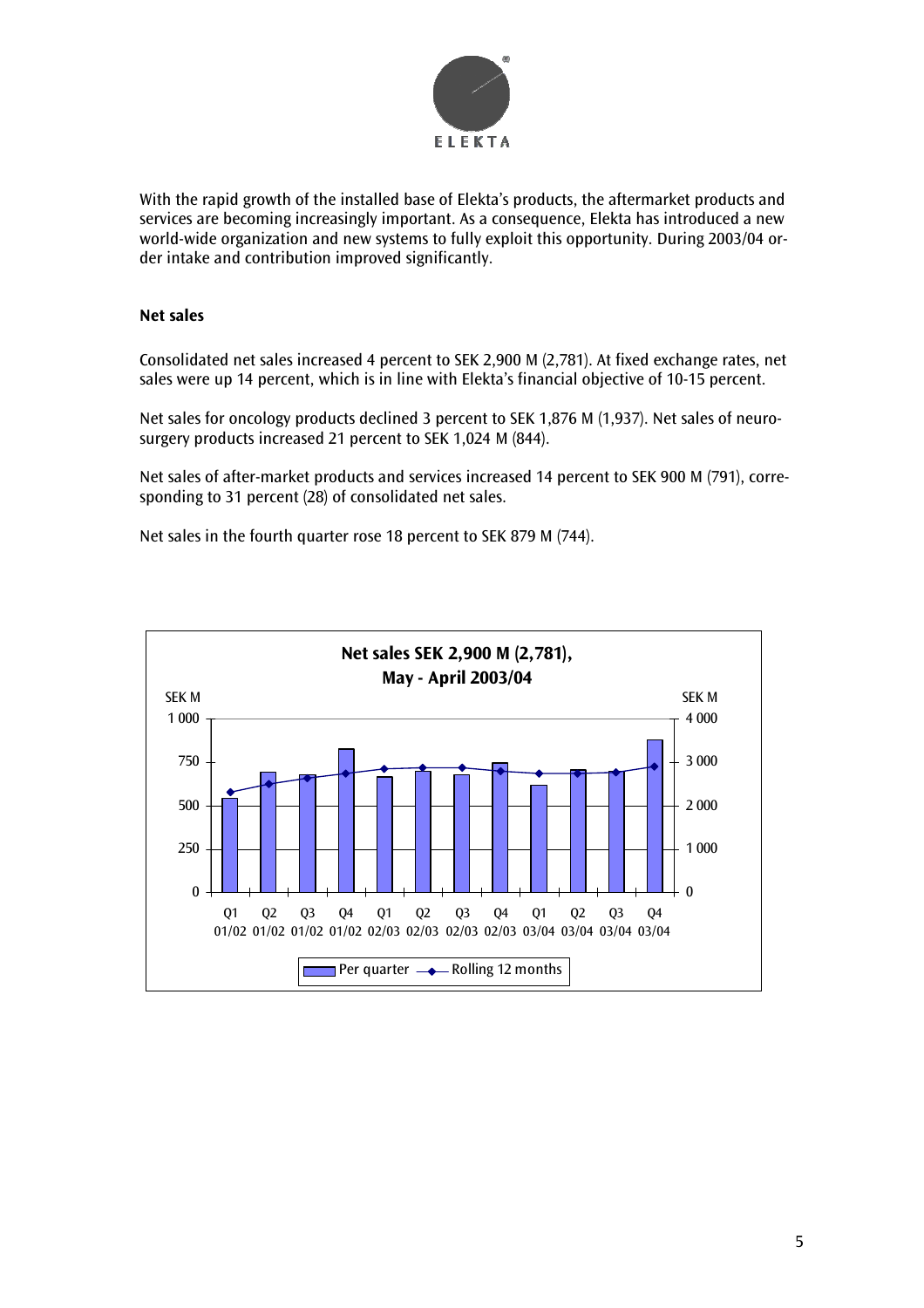

With the rapid growth of the installed base of Elekta's products, the aftermarket products and services are becoming increasingly important. As a consequence, Elekta has introduced a new world-wide organization and new systems to fully exploit this opportunity. During 2003/04 order intake and contribution improved significantly.

# **Net sales**

Consolidated net sales increased 4 percent to SEK 2,900 M (2,781). At fixed exchange rates, net sales were up 14 percent, which is in line with Elekta's financial objective of 10-15 percent.

Net sales for oncology products declined 3 percent to SEK 1,876 M (1,937). Net sales of neurosurgery products increased 21 percent to SEK 1,024 M (844).

Net sales of after-market products and services increased 14 percent to SEK 900 M (791), corresponding to 31 percent (28) of consolidated net sales.

Net sales in the fourth quarter rose 18 percent to SEK 879 M (744).

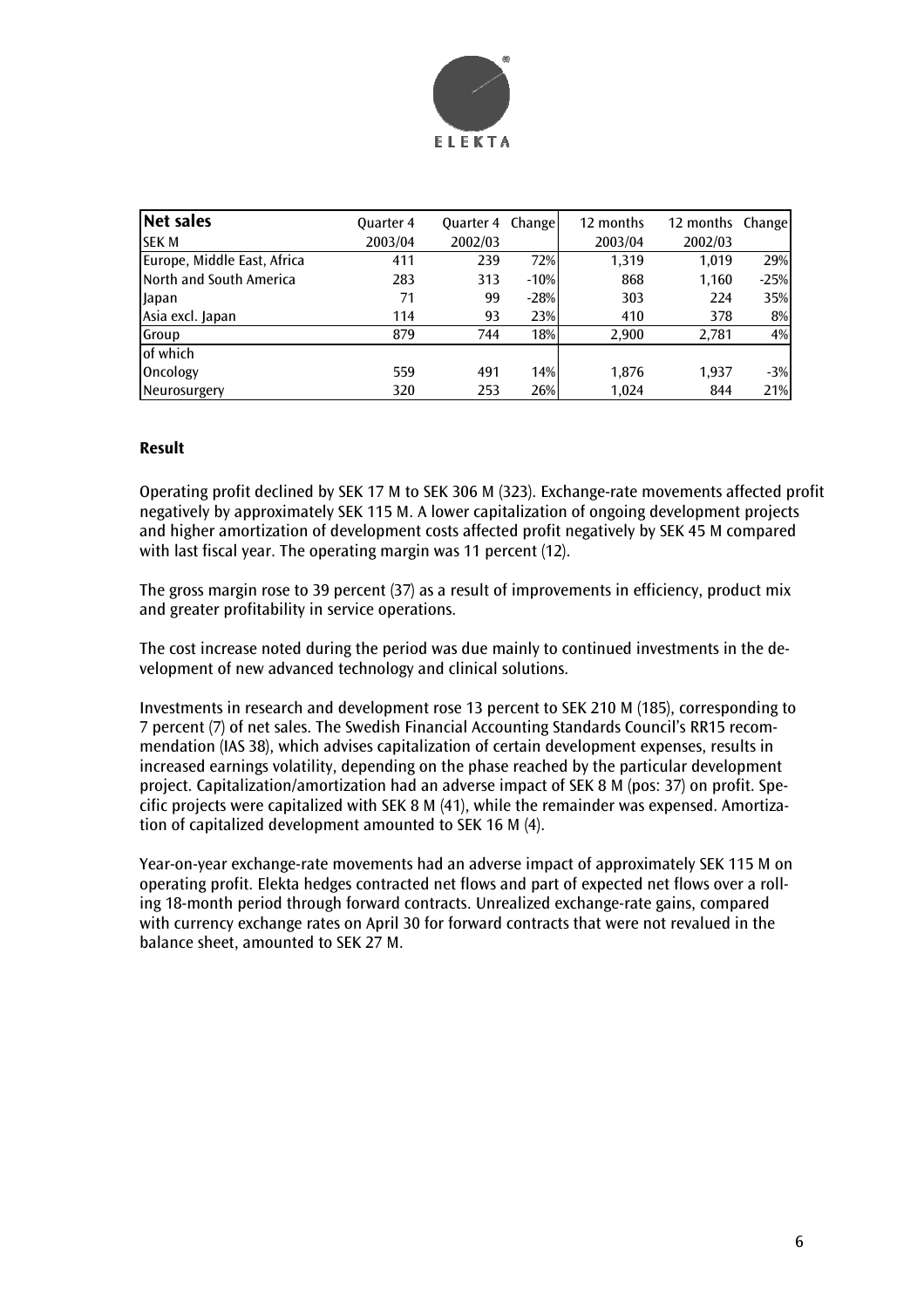

| Net sales                   | <b>Quarter 4</b> | <b>Ouarter 4 Change</b> |        | 12 months | 12 months Change |        |
|-----------------------------|------------------|-------------------------|--------|-----------|------------------|--------|
| <b>SEK M</b>                | 2003/04          | 2002/03                 |        | 2003/04   | 2002/03          |        |
| Europe, Middle East, Africa | 411              | 239                     | 72%    | 1.319     | 1.019            | 29%    |
| North and South America     | 283              | 313                     | $-10%$ | 868       | 1,160            | $-25%$ |
| <b>Japan</b>                | 71               | 99                      | $-28%$ | 303       | 224              | 35%    |
| Asia excl. Japan            | 114              | 93                      | 23%    | 410       | 378              | 8%     |
| Group                       | 879              | 744                     | 18%    | 2,900     | 2,781            | 4%     |
| of which                    |                  |                         |        |           |                  |        |
| Oncology                    | 559              | 491                     | 14%    | 1.876     | 1,937            | $-3%$  |
| Neurosurgery                | 320              | 253                     | 26%    | 1.024     | 844              | 21%    |

#### **Result**

Operating profit declined by SEK 17 M to SEK 306 M (323). Exchange-rate movements affected profit negatively by approximately SEK 115 M. A lower capitalization of ongoing development projects and higher amortization of development costs affected profit negatively by SEK 45 M compared with last fiscal year. The operating margin was 11 percent (12).

The gross margin rose to 39 percent (37) as a result of improvements in efficiency, product mix and greater profitability in service operations.

The cost increase noted during the period was due mainly to continued investments in the development of new advanced technology and clinical solutions.

Investments in research and development rose 13 percent to SEK 210 M (185), corresponding to 7 percent (7) of net sales. The Swedish Financial Accounting Standards Council's RR15 recommendation (IAS 38), which advises capitalization of certain development expenses, results in increased earnings volatility, depending on the phase reached by the particular development project. Capitalization/amortization had an adverse impact of SEK 8 M (pos: 37) on profit. Specific projects were capitalized with SEK 8 M (41), while the remainder was expensed. Amortization of capitalized development amounted to SEK 16 M (4).

Year-on-year exchange-rate movements had an adverse impact of approximately SEK 115 M on operating profit. Elekta hedges contracted net flows and part of expected net flows over a rolling 18-month period through forward contracts. Unrealized exchange-rate gains, compared with currency exchange rates on April 30 for forward contracts that were not revalued in the balance sheet, amounted to SEK 27 M.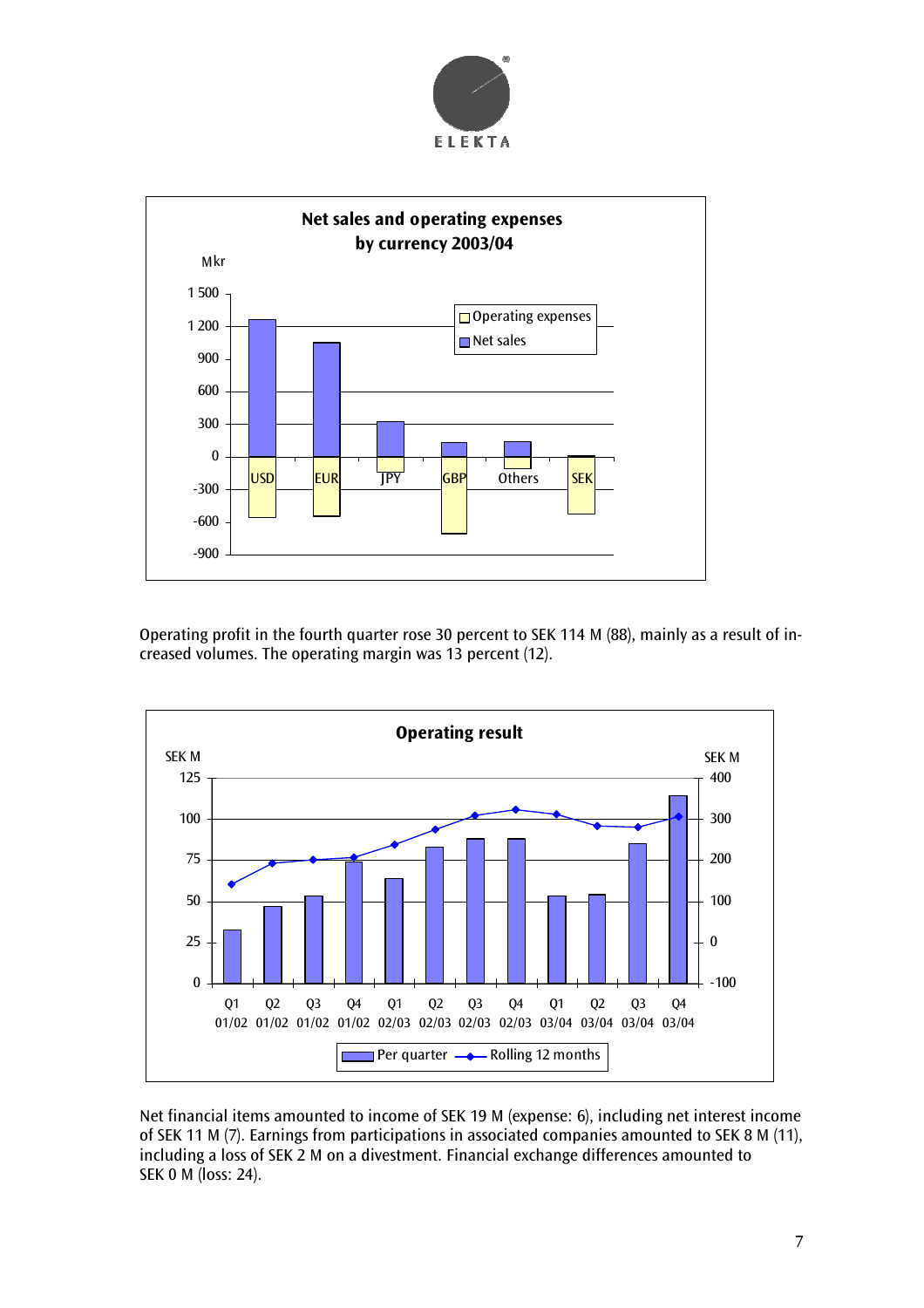



Operating profit in the fourth quarter rose 30 percent to SEK 114 M (88), mainly as a result of increased volumes. The operating margin was 13 percent (12).



Net financial items amounted to income of SEK 19 M (expense: 6), including net interest income of SEK 11 M (7). Earnings from participations in associated companies amounted to SEK 8 M (11), including a loss of SEK 2 M on a divestment. Financial exchange differences amounted to SEK 0 M (loss: 24).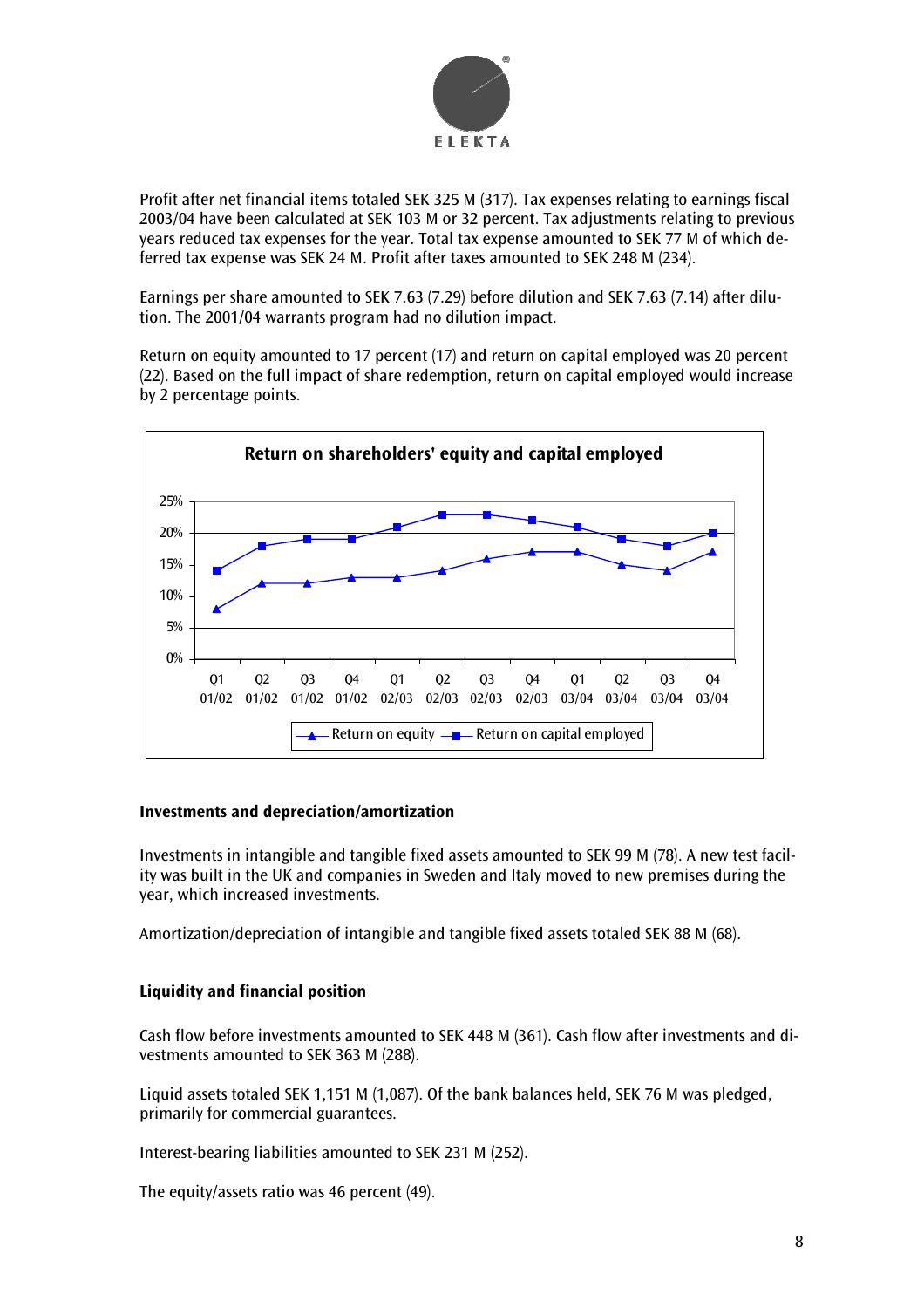

Profit after net financial items totaled SEK 325 M (317). Tax expenses relating to earnings fiscal 2003/04 have been calculated at SEK 103 M or 32 percent. Tax adjustments relating to previous years reduced tax expenses for the year. Total tax expense amounted to SEK 77 M of which deferred tax expense was SEK 24 M. Profit after taxes amounted to SEK 248 M (234).

Earnings per share amounted to SEK 7.63 (7.29) before dilution and SEK 7.63 (7.14) after dilution. The 2001/04 warrants program had no dilution impact.

Return on equity amounted to 17 percent (17) and return on capital employed was 20 percent (22). Based on the full impact of share redemption, return on capital employed would increase by 2 percentage points.



#### **Investments and depreciation/amortization**

Investments in intangible and tangible fixed assets amounted to SEK 99 M (78). A new test facility was built in the UK and companies in Sweden and Italy moved to new premises during the year, which increased investments.

Amortization/depreciation of intangible and tangible fixed assets totaled SEK 88 M (68).

# **Liquidity and financial position**

Cash flow before investments amounted to SEK 448 M (361). Cash flow after investments and divestments amounted to SEK 363 M (288).

Liquid assets totaled SEK 1,151 M (1,087). Of the bank balances held, SEK 76 M was pledged, primarily for commercial guarantees.

Interest-bearing liabilities amounted to SEK 231 M (252).

The equity/assets ratio was 46 percent (49).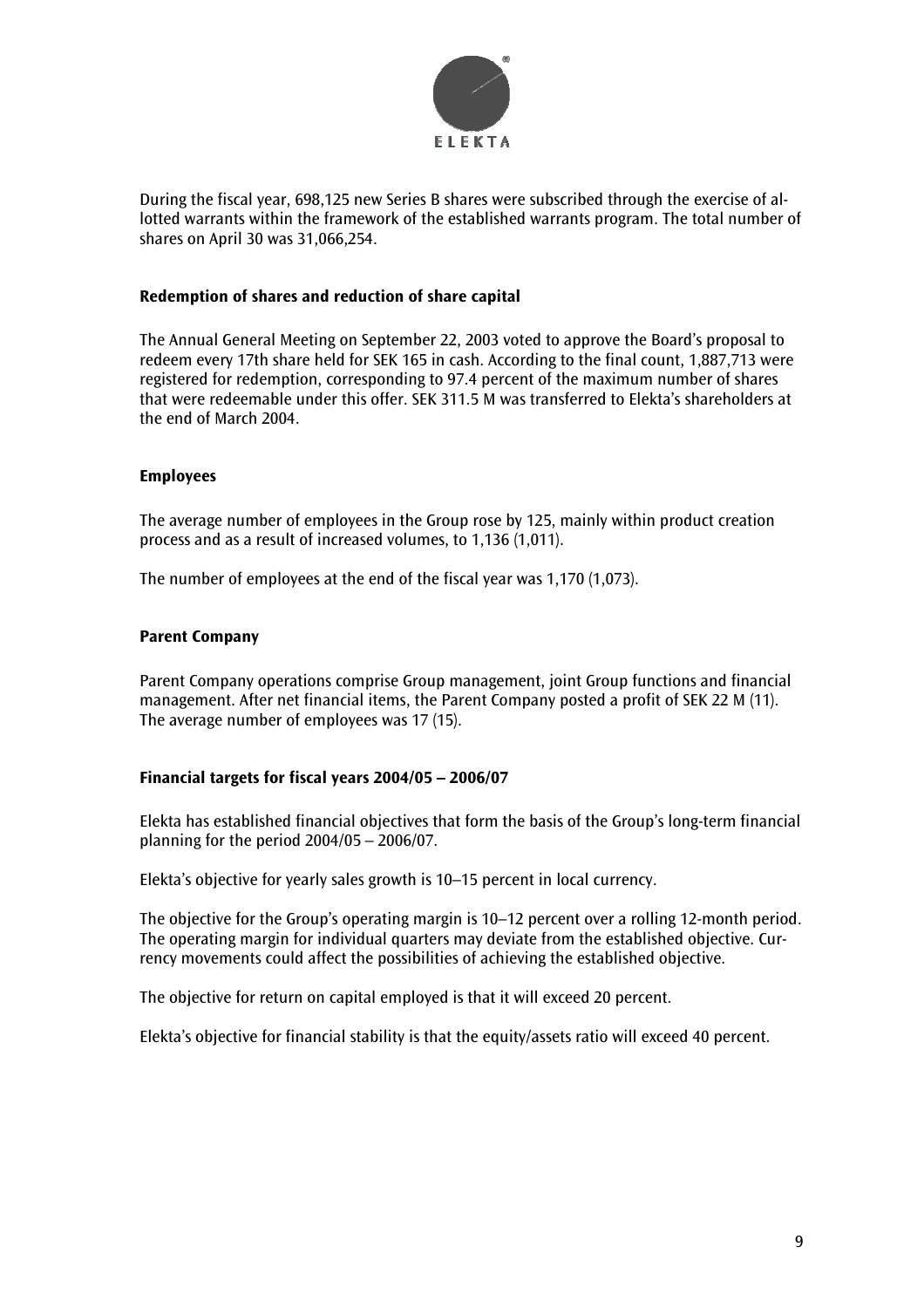

During the fiscal year, 698,125 new Series B shares were subscribed through the exercise of allotted warrants within the framework of the established warrants program. The total number of shares on April 30 was 31,066,254.

#### **Redemption of shares and reduction of share capital**

The Annual General Meeting on September 22, 2003 voted to approve the Board's proposal to redeem every 17th share held for SEK 165 in cash. According to the final count, 1,887,713 were registered for redemption, corresponding to 97.4 percent of the maximum number of shares that were redeemable under this offer. SEK 311.5 M was transferred to Elekta's shareholders at the end of March 2004.

#### **Employees**

The average number of employees in the Group rose by 125, mainly within product creation process and as a result of increased volumes, to 1,136 (1,011).

The number of employees at the end of the fiscal year was 1,170 (1,073).

#### **Parent Company**

Parent Company operations comprise Group management, joint Group functions and financial management. After net financial items, the Parent Company posted a profit of SEK 22 M (11). The average number of employees was 17 (15).

# **Financial targets for fiscal years 2004/05 – 2006/07**

Elekta has established financial objectives that form the basis of the Group's long-term financial planning for the period 2004/05 – 2006/07.

Elekta's objective for yearly sales growth is 10–15 percent in local currency.

The objective for the Group's operating margin is 10–12 percent over a rolling 12-month period. The operating margin for individual quarters may deviate from the established objective. Currency movements could affect the possibilities of achieving the established objective.

The objective for return on capital employed is that it will exceed 20 percent.

Elekta's objective for financial stability is that the equity/assets ratio will exceed 40 percent.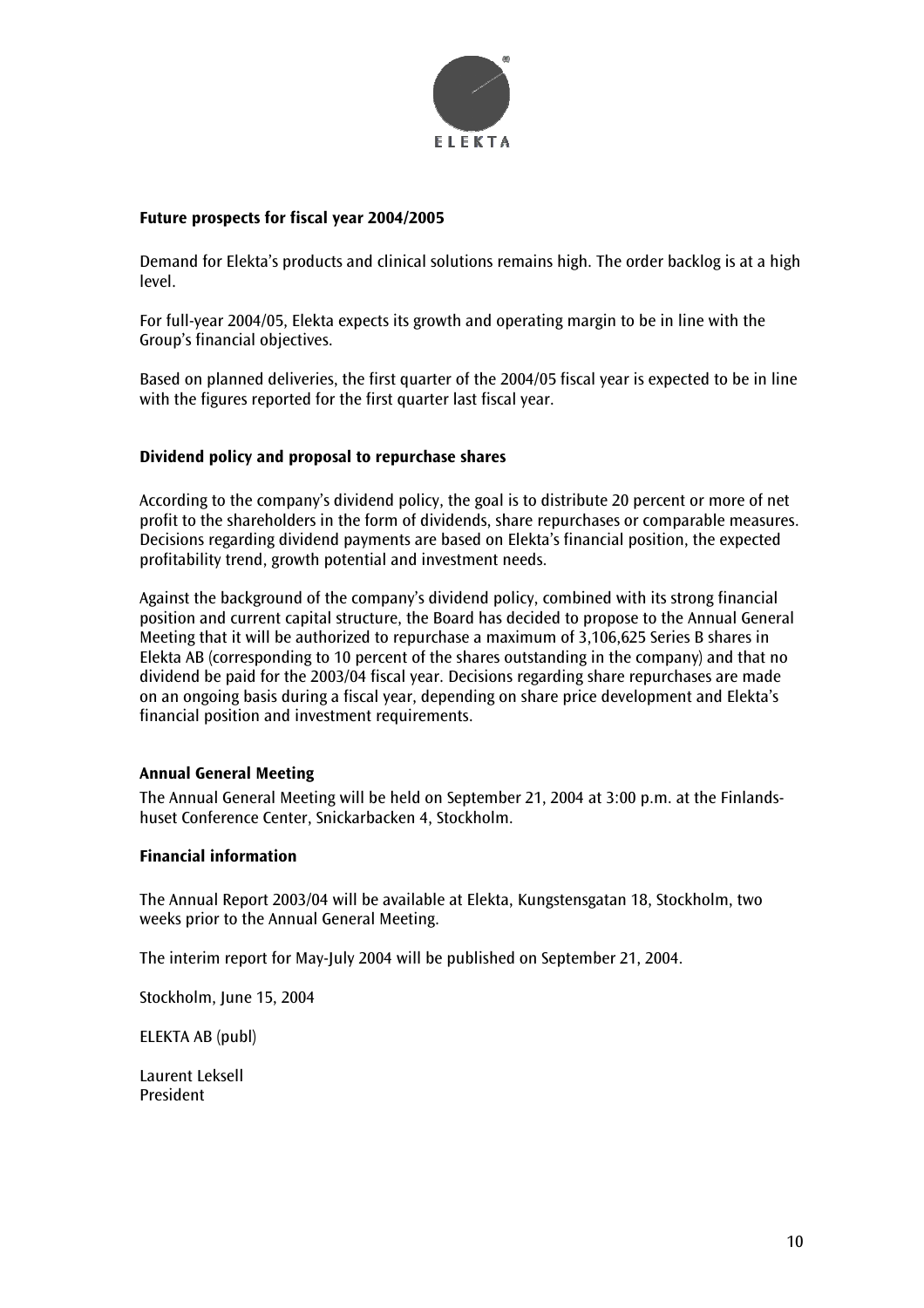

#### **Future prospects for fiscal year 2004/2005**

Demand for Elekta's products and clinical solutions remains high. The order backlog is at a high level.

For full-year 2004/05, Elekta expects its growth and operating margin to be in line with the Group's financial objectives.

Based on planned deliveries, the first quarter of the 2004/05 fiscal year is expected to be in line with the figures reported for the first quarter last fiscal year.

#### **Dividend policy and proposal to repurchase shares**

According to the company's dividend policy, the goal is to distribute 20 percent or more of net profit to the shareholders in the form of dividends, share repurchases or comparable measures. Decisions regarding dividend payments are based on Elekta's financial position, the expected profitability trend, growth potential and investment needs.

Against the background of the company's dividend policy, combined with its strong financial position and current capital structure, the Board has decided to propose to the Annual General Meeting that it will be authorized to repurchase a maximum of 3,106,625 Series B shares in Elekta AB (corresponding to 10 percent of the shares outstanding in the company) and that no dividend be paid for the 2003/04 fiscal year. Decisions regarding share repurchases are made on an ongoing basis during a fiscal year, depending on share price development and Elekta's financial position and investment requirements.

#### **Annual General Meeting**

The Annual General Meeting will be held on September 21, 2004 at 3:00 p.m. at the Finlandshuset Conference Center, Snickarbacken 4, Stockholm.

#### **Financial information**

The Annual Report 2003/04 will be available at Elekta, Kungstensgatan 18, Stockholm, two weeks prior to the Annual General Meeting.

The interim report for May-July 2004 will be published on September 21, 2004.

Stockholm, June 15, 2004

ELEKTA AB (publ)

Laurent Leksell President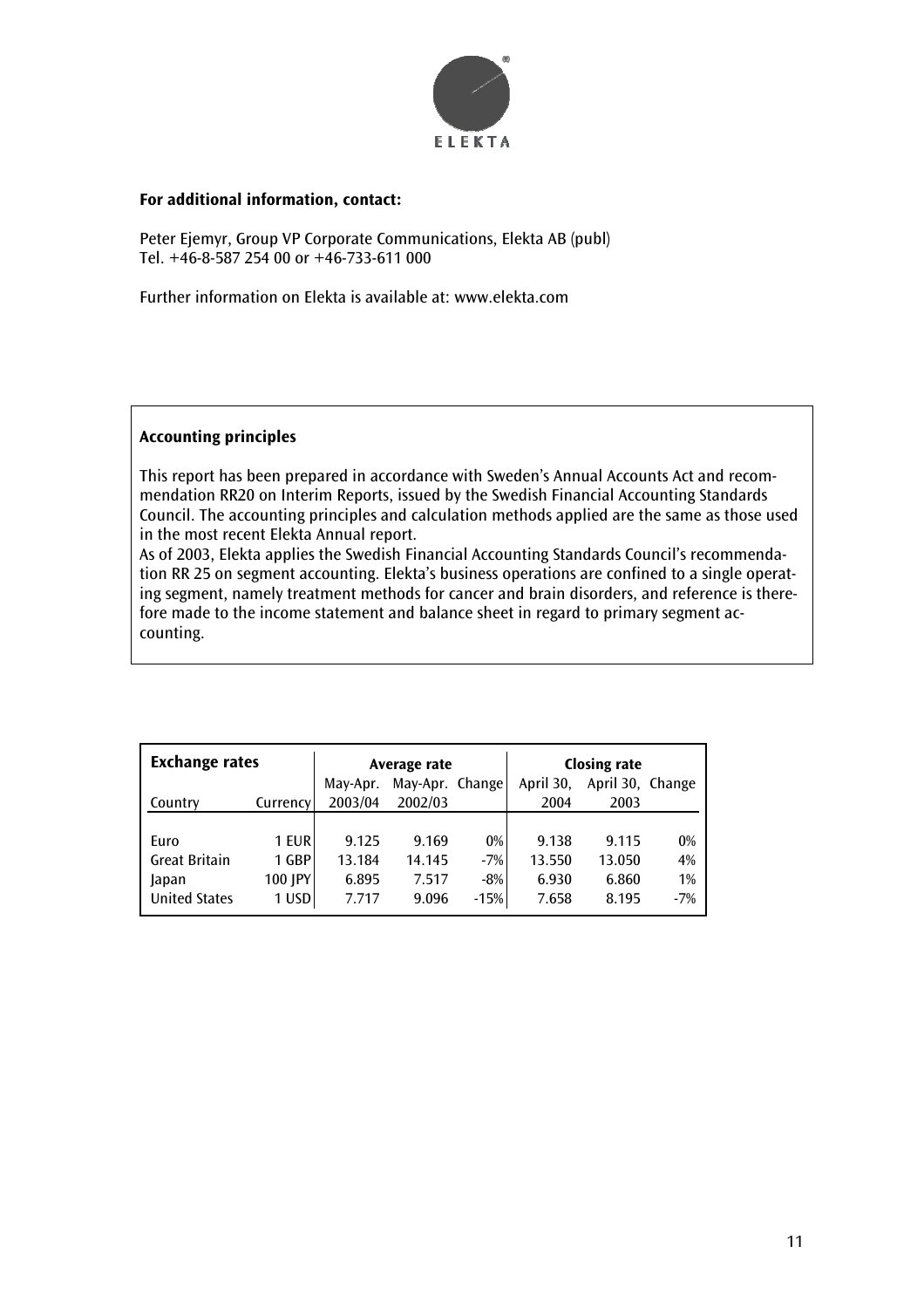

#### **For additional information, contact:**

Peter Ejemyr, Group VP Corporate Communications, Elekta AB (publ) Tel. +46-8-587 254 00 or +46-733-611 000

Further information on Elekta is available at: www.elekta.com

# **Accounting principles**

This report has been prepared in accordance with Sweden's Annual Accounts Act and recommendation RR20 on Interim Reports, issued by the Swedish Financial Accounting Standards Council. The accounting principles and calculation methods applied are the same as those used in the most recent Elekta Annual report.

As of 2003, Elekta applies the Swedish Financial Accounting Standards Council's recommendation RR 25 on segment accounting. Elekta's business operations are confined to a single operating segment, namely treatment methods for cancer and brain disorders, and reference is therefore made to the income statement and balance sheet in regard to primary segment accounting.

| <b>Exchange rates</b> | Average rate |          |                 | <b>Closing rate</b> |           |                  |       |
|-----------------------|--------------|----------|-----------------|---------------------|-----------|------------------|-------|
|                       |              | May-Apr. | May-Apr. Change |                     | April 30, | April 30, Change |       |
| Country               | Currency     | 2003/04  | 2002/03         |                     | 2004      | 2003             |       |
|                       |              |          |                 |                     |           |                  |       |
| Euro                  | 1 EUR        | 9.125    | 9.169           | 0%                  | 9.138     | 9.115            | 0%    |
| <b>Great Britain</b>  | 1 GBP        | 13.184   | 14.145          | $-7%$               | 13.550    | 13.050           | 4%    |
| Japan                 | 100 JPY      | 6.895    | 7.517           | $-8%$               | 6.930     | 6.860            | 1%    |
| <b>United States</b>  | 1 USD        | 7.717    | 9.096           | $-15%$              | 7.658     | 8.195            | $-7%$ |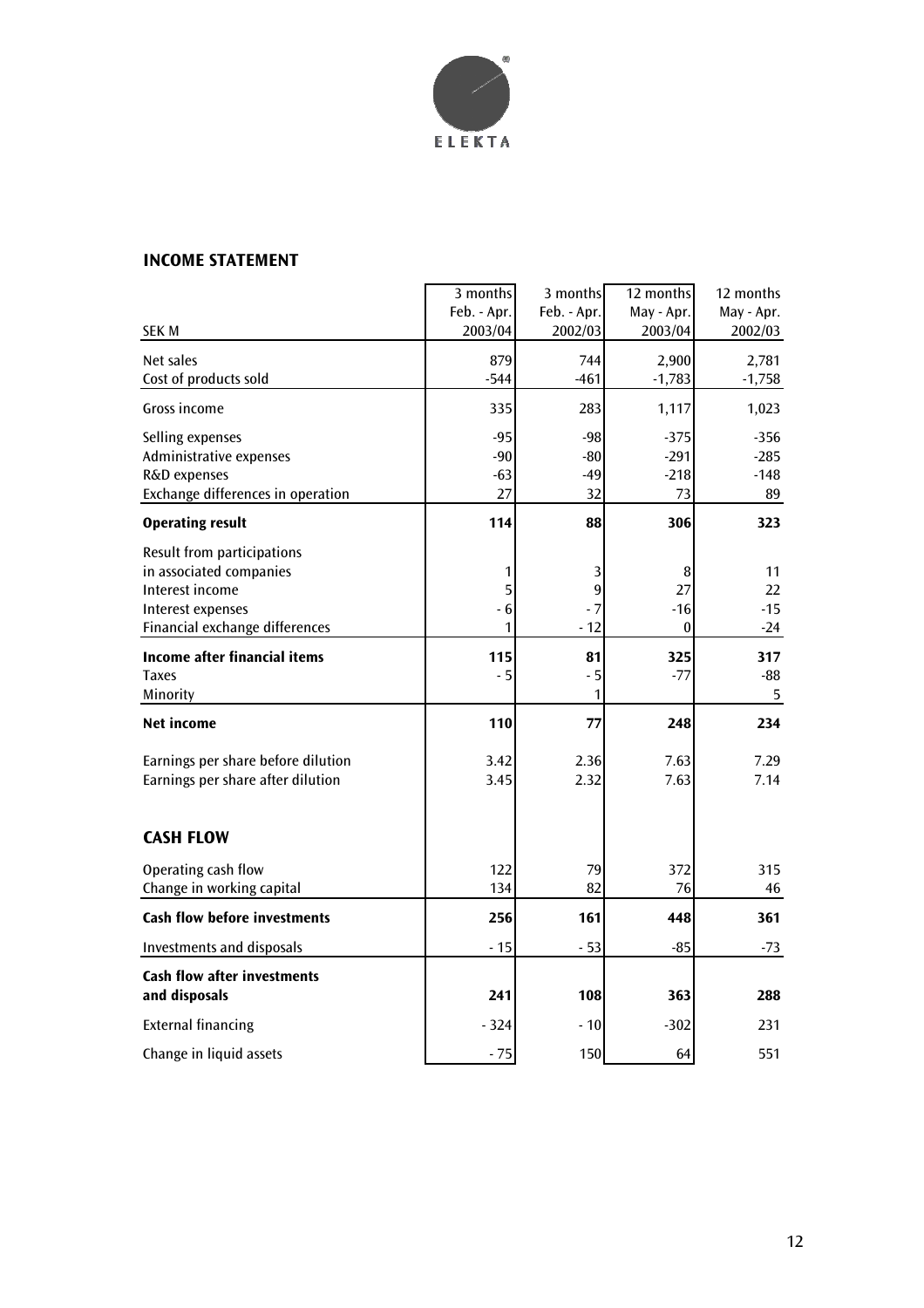

# **INCOME STATEMENT**

|                                          | 3 months    | 3 months    | 12 months  | 12 months  |
|------------------------------------------|-------------|-------------|------------|------------|
|                                          | Feb. - Apr. | Feb. - Apr. | May - Apr. | May - Apr. |
| SEK M                                    | 2003/04     | 2002/03     | 2003/04    | 2002/03    |
| Net sales                                | 879         | 744         | 2,900      | 2,781      |
| Cost of products sold                    | $-544$      | $-461$      | $-1,783$   | $-1,758$   |
|                                          |             |             |            |            |
| Gross income                             | 335         | 283         | 1,117      | 1,023      |
| Selling expenses                         | $-95$       | -98         | $-375$     | $-356$     |
| Administrative expenses                  | $-90$       | -80         | $-291$     | $-285$     |
| R&D expenses                             | $-63$       | $-49$       | $-218$     | $-148$     |
| <b>Exchange differences in operation</b> | 27          | 32          | 73         | 89         |
| <b>Operating result</b>                  | 114         | 88          | 306        | 323        |
| Result from participations               |             |             |            |            |
| in associated companies                  | 1           | 3           | 8          | 11         |
| Interest income                          | 5           | 9           | 27         | 22         |
| Interest expenses                        | - 6         | - 7         | $-16$      | $-15$      |
| Financial exchange differences           | 1           | $-12$       | 0          | $-24$      |
| <b>Income after financial items</b>      | 115         | 81          | 325        | 317        |
| <b>Taxes</b>                             | $-5$        | $-5$        | $-77$      | $-88$      |
| Minority                                 |             | 1           |            | 5          |
|                                          |             |             |            |            |
| <b>Net income</b>                        | 110         | 77          | 248        | 234        |
| Earnings per share before dilution       | 3.42        | 2.36        | 7.63       | 7.29       |
| Earnings per share after dilution        | 3.45        | 2.32        | 7.63       | 7.14       |
|                                          |             |             |            |            |
| <b>CASH FLOW</b>                         |             |             |            |            |
| Operating cash flow                      | 122         | 79          | 372        | 315        |
| Change in working capital                | 134         | 82          | 76         | 46         |
| <b>Cash flow before investments</b>      | 256         | 161         | 448        | 361        |
|                                          |             |             |            |            |
| <b>Investments and disposals</b>         | $-15$       | $-53$       | $-85$      | -73        |
| <b>Cash flow after investments</b>       |             |             |            |            |
| and disposals                            | 241         | 108         | 363        | 288        |
| <b>External financing</b>                | - 324       | - 10        | $-302$     | 231        |
| Change in liquid assets                  | $-75$       | 150         | 64         | 551        |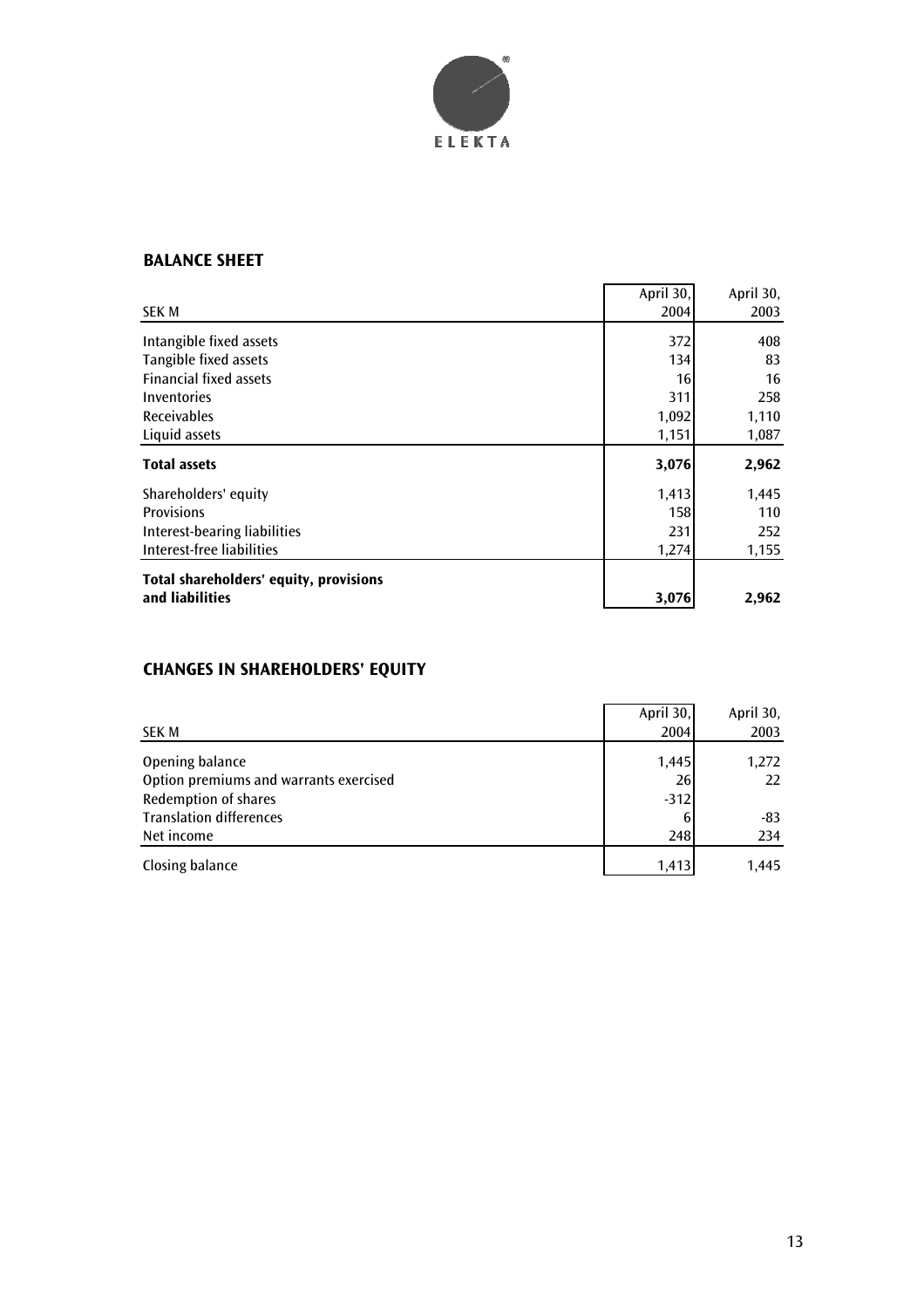

# **BALANCE SHEET**

|                                        | April 30, | April 30, |
|----------------------------------------|-----------|-----------|
| <b>SEK M</b>                           | 2004      | 2003      |
| Intangible fixed assets                | 372       | 408       |
| Tangible fixed assets                  | 134       | 83        |
| <b>Financial fixed assets</b>          | 16        | 16        |
| Inventories                            | 311       | 258       |
| <b>Receivables</b>                     | 1,092     | 1,110     |
| Liquid assets                          | 1,151     | 1,087     |
| <b>Total assets</b>                    | 3,076     | 2,962     |
| Shareholders' equity                   | 1,413     | 1,445     |
| <b>Provisions</b>                      | 158       | 110       |
| Interest-bearing liabilities           | 231       | 252       |
| Interest-free liabilities              | 1,274     | 1,155     |
|                                        |           |           |
| Total shareholders' equity, provisions |           |           |

# **CHANGES IN SHAREHOLDERS' EQUITY**

|                                        | April 30, | April 30, |
|----------------------------------------|-----------|-----------|
| SEK M                                  | 2004      | 2003      |
| Opening balance                        | 1,445     | 1,272     |
| Option premiums and warrants exercised | 26        | 22        |
| <b>Redemption of shares</b>            | $-312$    |           |
| <b>Translation differences</b>         |           | -83       |
| Net income                             | 248       | 234       |
| Closing balance                        | 1.413     | 1.445     |